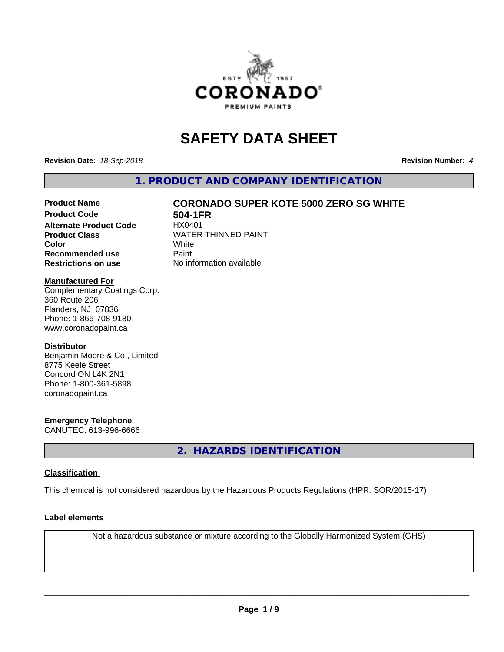

## **SAFETY DATA SHEET**

**Revision Date:** *18-Sep-2018* **Revision Number:** *4*

**1. PRODUCT AND COMPANY IDENTIFICATION**

### **Product Name CORONADO SUPER KOTE 5000 ZERO SG WHITE**

**Product Code 61 504-1FR**<br>**Alternate Product Code** HX0401 **Alternate Product Code Recommended use** Paint **Restrictions on use** No information available

**Product Class** WATER THINNED PAINT<br>
Color **Color** White White

#### **Manufactured For**

Complementary Coatings Corp. 360 Route 206 Flanders, NJ 07836 Phone: 1-866-708-9180 www.coronadopaint.ca

#### **Distributor**

Benjamin Moore & Co., Limited 8775 Keele Street Concord ON L4K 2N1 Phone: 1-800-361-5898 coronadopaint.ca

#### **Emergency Telephone**

CANUTEC: 613-996-6666

**2. HAZARDS IDENTIFICATION**

#### **Classification**

This chemical is not considered hazardous by the Hazardous Products Regulations (HPR: SOR/2015-17)

#### **Label elements**

Not a hazardous substance or mixture according to the Globally Harmonized System (GHS)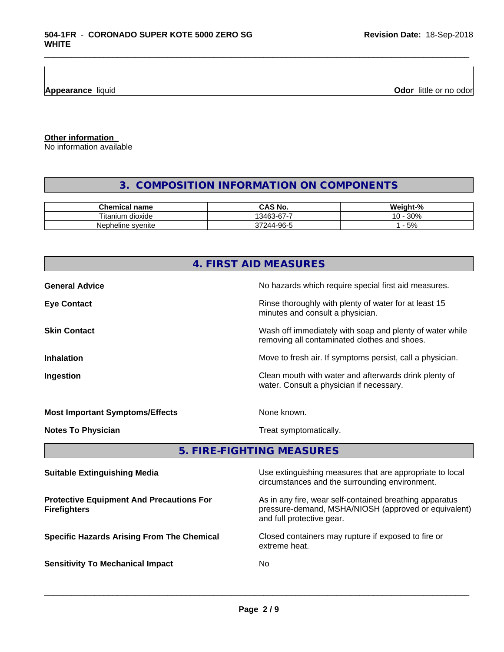**Appearance** liquid

**Odor** little or no odor

**Other information**

No information available

### **3. COMPOSITION INFORMATION ON COMPONENTS**

\_\_\_\_\_\_\_\_\_\_\_\_\_\_\_\_\_\_\_\_\_\_\_\_\_\_\_\_\_\_\_\_\_\_\_\_\_\_\_\_\_\_\_\_\_\_\_\_\_\_\_\_\_\_\_\_\_\_\_\_\_\_\_\_\_\_\_\_\_\_\_\_\_\_\_\_\_\_\_\_\_\_\_\_\_\_\_\_\_\_\_\_\_

| Chemical<br>name                    | <b>NC</b><br>ں                     | <br>C.<br>Mainh<br>$\sqrt{2}$ |
|-------------------------------------|------------------------------------|-------------------------------|
| <br>÷.<br>ı dioxide<br>itani<br>ıum | -<br>$\sim$<br>3463<br>ั⊀-ค<br>ບບ  | 200<br>ໍດ<br>3U%<br>. U       |
| Nepheline svenite                   | .OG<br>$\sim$<br>$\Delta$<br>$-11$ | 5%                            |

|                                        | 4. FIRST AID MEASURES                                                                                    |
|----------------------------------------|----------------------------------------------------------------------------------------------------------|
| <b>General Advice</b>                  | No hazards which require special first aid measures.                                                     |
| <b>Eye Contact</b>                     | Rinse thoroughly with plenty of water for at least 15<br>minutes and consult a physician.                |
| <b>Skin Contact</b>                    | Wash off immediately with soap and plenty of water while<br>removing all contaminated clothes and shoes. |
| <b>Inhalation</b>                      | Move to fresh air. If symptoms persist, call a physician.                                                |
| Ingestion                              | Clean mouth with water and afterwards drink plenty of<br>water. Consult a physician if necessary.        |
| <b>Most Important Symptoms/Effects</b> | None known.                                                                                              |
| <b>Notes To Physician</b>              | Treat symptomatically.                                                                                   |
|                                        | 5. FIRE-FIGHTING MEASURES                                                                                |

| <b>Suitable Extinguishing Media</b>                                    | Use extinguishing measures that are appropriate to local<br>circumstances and the surrounding environment.                                   |
|------------------------------------------------------------------------|----------------------------------------------------------------------------------------------------------------------------------------------|
| <b>Protective Equipment And Precautions For</b><br><b>Firefighters</b> | As in any fire, wear self-contained breathing apparatus<br>pressure-demand, MSHA/NIOSH (approved or equivalent)<br>and full protective gear. |
| <b>Specific Hazards Arising From The Chemical</b>                      | Closed containers may rupture if exposed to fire or<br>extreme heat.                                                                         |
| <b>Sensitivity To Mechanical Impact</b>                                | No.                                                                                                                                          |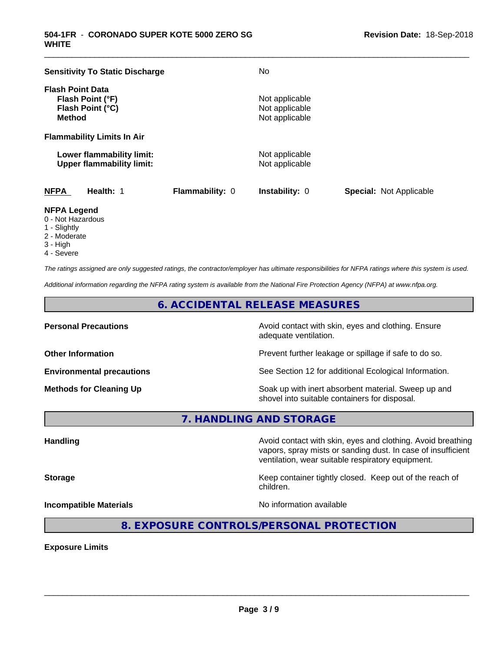| <b>Sensitivity To Static Discharge</b>                                           |                 | No.                                                |                                |
|----------------------------------------------------------------------------------|-----------------|----------------------------------------------------|--------------------------------|
| <b>Flash Point Data</b><br>Flash Point (°F)<br>Flash Point (°C)<br><b>Method</b> |                 | Not applicable<br>Not applicable<br>Not applicable |                                |
| <b>Flammability Limits In Air</b>                                                |                 |                                                    |                                |
| Lower flammability limit:<br><b>Upper flammability limit:</b>                    |                 | Not applicable<br>Not applicable                   |                                |
| <b>NFPA</b><br>Health: 1                                                         | Flammability: 0 | <b>Instability: 0</b>                              | <b>Special: Not Applicable</b> |

\_\_\_\_\_\_\_\_\_\_\_\_\_\_\_\_\_\_\_\_\_\_\_\_\_\_\_\_\_\_\_\_\_\_\_\_\_\_\_\_\_\_\_\_\_\_\_\_\_\_\_\_\_\_\_\_\_\_\_\_\_\_\_\_\_\_\_\_\_\_\_\_\_\_\_\_\_\_\_\_\_\_\_\_\_\_\_\_\_\_\_\_\_

#### **NFPA Legend**

- 0 Not Hazardous
- 1 Slightly
- 2 Moderate
- 3 High
- 4 Severe

*The ratings assigned are only suggested ratings, the contractor/employer has ultimate responsibilities for NFPA ratings where this system is used.*

*Additional information regarding the NFPA rating system is available from the National Fire Protection Agency (NFPA) at www.nfpa.org.*

#### **6. ACCIDENTAL RELEASE MEASURES**

**Personal Precautions Precautions** Avoid contact with skin, eyes and clothing. Ensure adequate ventilation.

**Other Information Other Information Prevent further leakage or spillage if safe to do so.** 

**Environmental precautions** See Section 12 for additional Ecological Information.

**Methods for Cleaning Up Example 20 Soak** up with inert absorbent material. Sweep up and shovel into suitable containers for disposal.

vapors, spray mists or sanding dust. In case of insufficient

**7. HANDLING AND STORAGE**

**Handling Handling Avoid contact with skin, eyes and clothing. Avoid breathing** 

**Storage Keep container tightly closed.** Keep out of the reach of

children.

ventilation, wear suitable respiratory equipment.

**Incompatible Materials Incompatible Materials No information available** 

 $\overline{\phantom{a}}$  ,  $\overline{\phantom{a}}$  ,  $\overline{\phantom{a}}$  ,  $\overline{\phantom{a}}$  ,  $\overline{\phantom{a}}$  ,  $\overline{\phantom{a}}$  ,  $\overline{\phantom{a}}$  ,  $\overline{\phantom{a}}$  ,  $\overline{\phantom{a}}$  ,  $\overline{\phantom{a}}$  ,  $\overline{\phantom{a}}$  ,  $\overline{\phantom{a}}$  ,  $\overline{\phantom{a}}$  ,  $\overline{\phantom{a}}$  ,  $\overline{\phantom{a}}$  ,  $\overline{\phantom{a}}$ 

**8. EXPOSURE CONTROLS/PERSONAL PROTECTION**

**Exposure Limits**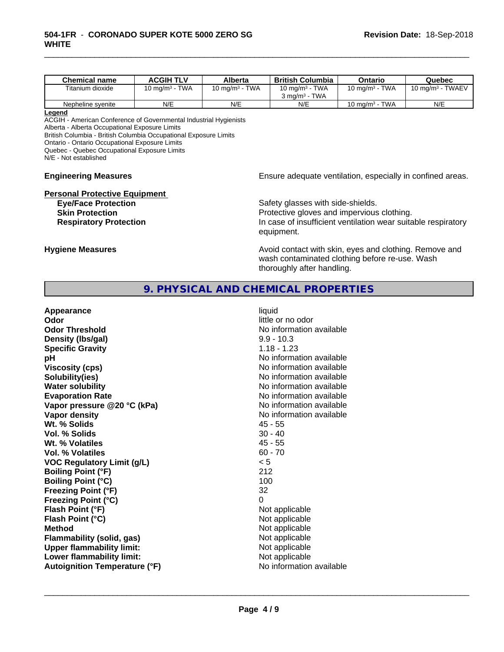| <b>Chemical name</b> | <b>ACGIH TLV</b>                     | Alberta                              | <b>British Columbia</b>                  | Ontario           | Quebec                          |
|----------------------|--------------------------------------|--------------------------------------|------------------------------------------|-------------------|---------------------------------|
| Titanium dioxide     | <b>TWA</b><br>10 mg/m <sup>3</sup> - | <b>TWA</b><br>10 mg/m <sup>3</sup> - | 10 mg/m $3$ - TWA                        | 10 mg/m $3$ - TWA | TWAEV<br>10 mg/m <sup>3</sup> - |
|                      |                                      |                                      | <b>TWA</b><br>$3 \text{ ma/m}^3$ $^{-1}$ |                   |                                 |
| Nepheline svenite    | N/E                                  | N/E                                  | N/E                                      | 10 mg/m $3$ - TWA | N/E                             |

\_\_\_\_\_\_\_\_\_\_\_\_\_\_\_\_\_\_\_\_\_\_\_\_\_\_\_\_\_\_\_\_\_\_\_\_\_\_\_\_\_\_\_\_\_\_\_\_\_\_\_\_\_\_\_\_\_\_\_\_\_\_\_\_\_\_\_\_\_\_\_\_\_\_\_\_\_\_\_\_\_\_\_\_\_\_\_\_\_\_\_\_\_

#### **Legend**

ACGIH - American Conference of Governmental Industrial Hygienists Alberta - Alberta Occupational Exposure Limits British Columbia - British Columbia Occupational Exposure Limits Ontario - Ontario Occupational Exposure Limits Quebec - Quebec Occupational Exposure Limits

N/E - Not established

# **Personal Protective Equipment**<br>**Eye/Face Protection**

**Engineering Measures Engineering Measures Engineering Measures Ensure adequate ventilation, especially in confined areas.** 

Safety glasses with side-shields. **Skin Protection Protection Protective gloves and impervious clothing. Respiratory Protection In case of insufficient ventilation wear suitable respiratory** equipment.

**Hygiene Measures Avoid contact with skin, eyes and clothing. Remove and Avoid contact with skin, eyes and clothing. Remove and** wash contaminated clothing before re-use. Wash thoroughly after handling.

#### **9. PHYSICAL AND CHEMICAL PROPERTIES**

| Appearance                           | liquid                   |
|--------------------------------------|--------------------------|
| Odor                                 | little or no odor        |
| <b>Odor Threshold</b>                | No information available |
| Density (Ibs/gal)                    | $9.9 - 10.3$             |
| <b>Specific Gravity</b>              | $1.18 - 1.23$            |
| рH                                   | No information available |
| <b>Viscosity (cps)</b>               | No information available |
| Solubility(ies)                      | No information available |
| <b>Water solubility</b>              | No information available |
| <b>Evaporation Rate</b>              | No information available |
| Vapor pressure @20 °C (kPa)          | No information available |
| <b>Vapor density</b>                 | No information available |
| Wt. % Solids                         | $45 - 55$                |
| Vol. % Solids                        | $30 - 40$                |
| Wt. % Volatiles                      | $45 - 55$                |
| Vol. % Volatiles                     | $60 - 70$                |
| <b>VOC Regulatory Limit (g/L)</b>    | < 5                      |
| <b>Boiling Point (°F)</b>            | 212                      |
| <b>Boiling Point (°C)</b>            | 100                      |
| <b>Freezing Point (°F)</b>           | 32                       |
| <b>Freezing Point (°C)</b>           | 0                        |
| Flash Point (°F)                     | Not applicable           |
| Flash Point (°C)                     | Not applicable           |
| <b>Method</b>                        | Not applicable           |
| <b>Flammability (solid, gas)</b>     | Not applicable           |
| <b>Upper flammability limit:</b>     | Not applicable           |
| Lower flammability limit:            | Not applicable           |
| <b>Autoignition Temperature (°F)</b> | No information available |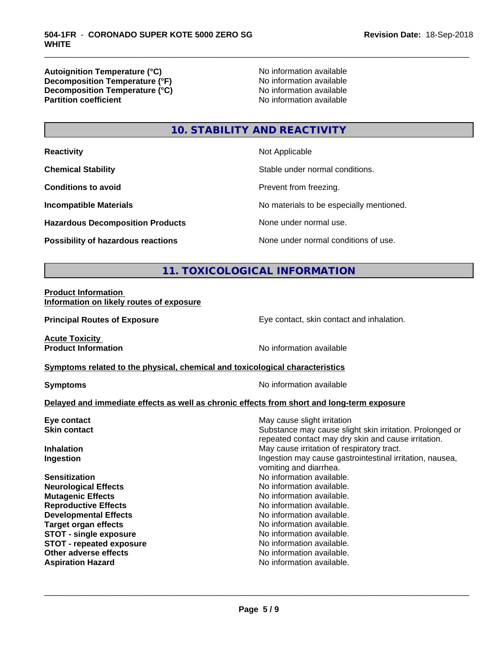**Autoignition Temperature (°C)**<br> **Decomposition Temperature (°F)** No information available **Decomposition Temperature (°F)**<br> **Decomposition Temperature (°C)**<br>
No information available **Decomposition Temperature (°C) Partition coefficient** 

\_\_\_\_\_\_\_\_\_\_\_\_\_\_\_\_\_\_\_\_\_\_\_\_\_\_\_\_\_\_\_\_\_\_\_\_\_\_\_\_\_\_\_\_\_\_\_\_\_\_\_\_\_\_\_\_\_\_\_\_\_\_\_\_\_\_\_\_\_\_\_\_\_\_\_\_\_\_\_\_\_\_\_\_\_\_\_\_\_\_\_\_\_

## **10. STABILITY AND REACTIVITY**

| <b>Reactivity</b>                       | Not Applicable                           |
|-----------------------------------------|------------------------------------------|
| <b>Chemical Stability</b>               | Stable under normal conditions.          |
| <b>Conditions to avoid</b>              | Prevent from freezing.                   |
| <b>Incompatible Materials</b>           | No materials to be especially mentioned. |
| <b>Hazardous Decomposition Products</b> | None under normal use.                   |
| Possibility of hazardous reactions      | None under normal conditions of use.     |

## **11. TOXICOLOGICAL INFORMATION**

#### **Product Information Information on likely routes of exposure**

**Principal Routes of Exposure Exposure** Eye contact, skin contact and inhalation.

**Acute Toxicity** 

**Product Information** No information available

#### **Symptoms** related to the physical, chemical and toxicological characteristics

**Symptoms** No information available

#### **Delayed and immediate effects as well as chronic effects from short and long-term exposure**

| Eye contact                     | May cause slight irritation                                                                                     |
|---------------------------------|-----------------------------------------------------------------------------------------------------------------|
| <b>Skin contact</b>             | Substance may cause slight skin irritation. Prolonged or<br>repeated contact may dry skin and cause irritation. |
| <b>Inhalation</b>               | May cause irritation of respiratory tract.                                                                      |
| Ingestion                       | Ingestion may cause gastrointestinal irritation, nausea,<br>vomiting and diarrhea.                              |
| <b>Sensitization</b>            | No information available.                                                                                       |
| <b>Neurological Effects</b>     | No information available.                                                                                       |
| <b>Mutagenic Effects</b>        | No information available.                                                                                       |
| <b>Reproductive Effects</b>     | No information available.                                                                                       |
| <b>Developmental Effects</b>    | No information available.                                                                                       |
| <b>Target organ effects</b>     | No information available.                                                                                       |
| <b>STOT - single exposure</b>   | No information available.                                                                                       |
| <b>STOT - repeated exposure</b> | No information available.                                                                                       |
| Other adverse effects           | No information available.                                                                                       |
| <b>Aspiration Hazard</b>        | No information available.                                                                                       |
|                                 |                                                                                                                 |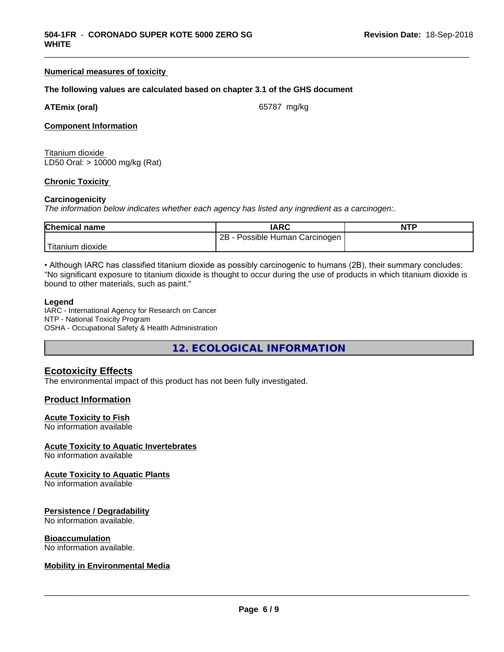#### **Numerical measures of toxicity**

#### **The following values are calculated based on chapter 3.1 of the GHS document**

| <b>ATEmix (oral)</b> |  |
|----------------------|--|
|                      |  |

**(oral)** 65787 mg/kg

\_\_\_\_\_\_\_\_\_\_\_\_\_\_\_\_\_\_\_\_\_\_\_\_\_\_\_\_\_\_\_\_\_\_\_\_\_\_\_\_\_\_\_\_\_\_\_\_\_\_\_\_\_\_\_\_\_\_\_\_\_\_\_\_\_\_\_\_\_\_\_\_\_\_\_\_\_\_\_\_\_\_\_\_\_\_\_\_\_\_\_\_\_

#### **Component Information**

Titanium dioxide LD50 Oral: > 10000 mg/kg (Rat)

#### **Chronic Toxicity**

#### **Carcinogenicity**

*The information below indicateswhether each agency has listed any ingredient as a carcinogen:.*

| <b>Chemical name</b> | <b>IARC</b>                        | <b>NTP</b> |
|----------------------|------------------------------------|------------|
|                      | 2B<br>Possible Human<br>Carcinogen |            |
| 'Titanium<br>dioxide |                                    |            |

• Although IARC has classified titanium dioxide as possibly carcinogenic to humans (2B), their summary concludes: "No significant exposure to titanium dioxide is thought to occur during the use of products in which titanium dioxide is bound to other materials, such as paint."

#### **Legend**

IARC - International Agency for Research on Cancer NTP - National Toxicity Program OSHA - Occupational Safety & Health Administration

**12. ECOLOGICAL INFORMATION**

#### **Ecotoxicity Effects**

The environmental impact of this product has not been fully investigated.

#### **Product Information**

#### **Acute Toxicity to Fish**

No information available

#### **Acute Toxicity to Aquatic Invertebrates**

No information available

#### **Acute Toxicity to Aquatic Plants**

No information available

#### **Persistence / Degradability**

No information available.

#### **Bioaccumulation**

No information available.

#### **Mobility in Environmental Media**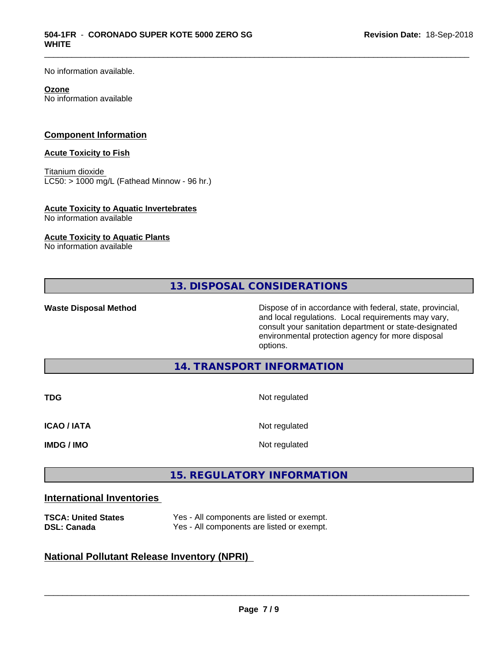No information available.

#### **Ozone**

No information available

#### **Component Information**

#### **Acute Toxicity to Fish**

Titanium dioxide  $LCS0:$  > 1000 mg/L (Fathead Minnow - 96 hr.)

#### **Acute Toxicity to Aquatic Invertebrates**

No information available

#### **Acute Toxicity to Aquatic Plants**

No information available

**13. DISPOSAL CONSIDERATIONS**

\_\_\_\_\_\_\_\_\_\_\_\_\_\_\_\_\_\_\_\_\_\_\_\_\_\_\_\_\_\_\_\_\_\_\_\_\_\_\_\_\_\_\_\_\_\_\_\_\_\_\_\_\_\_\_\_\_\_\_\_\_\_\_\_\_\_\_\_\_\_\_\_\_\_\_\_\_\_\_\_\_\_\_\_\_\_\_\_\_\_\_\_\_

**Waste Disposal Method** Dispose of in accordance with federal, state, provincial, and local regulations. Local requirements may vary, consult your sanitation department or state-designated environmental protection agency for more disposal options.

#### **14. TRANSPORT INFORMATION**

| TDG                | Not regulated |
|--------------------|---------------|
| <b>ICAO / IATA</b> | Not regulated |
| <b>IMDG / IMO</b>  | Not regulated |

### **15. REGULATORY INFORMATION**

#### **International Inventories**

| <b>TSCA: United States</b> | Yes - All components are listed or exempt. |
|----------------------------|--------------------------------------------|
| <b>DSL: Canada</b>         | Yes - All components are listed or exempt. |

### **National Pollutant Release Inventory (NPRI)**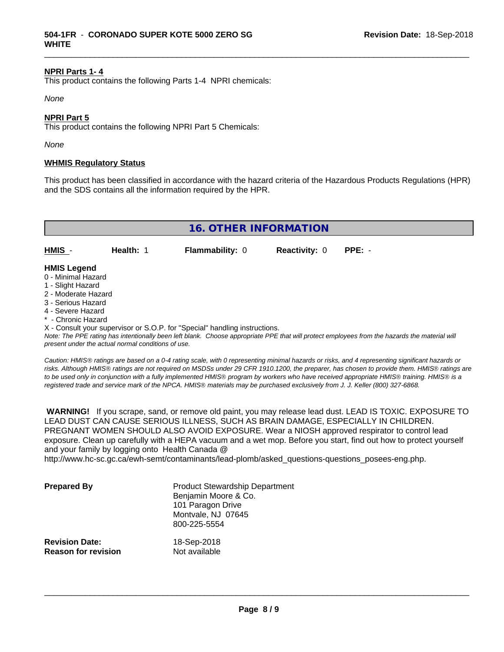#### **NPRI Parts 1- 4**

This product contains the following Parts 1-4 NPRI chemicals:

*None*

#### **NPRI Part 5**

This product contains the following NPRI Part 5 Chemicals:

*None*

#### **WHMIS Regulatory Status**

This product has been classified in accordance with the hazard criteria of the Hazardous Products Regulations (HPR) and the SDS contains all the information required by the HPR.

\_\_\_\_\_\_\_\_\_\_\_\_\_\_\_\_\_\_\_\_\_\_\_\_\_\_\_\_\_\_\_\_\_\_\_\_\_\_\_\_\_\_\_\_\_\_\_\_\_\_\_\_\_\_\_\_\_\_\_\_\_\_\_\_\_\_\_\_\_\_\_\_\_\_\_\_\_\_\_\_\_\_\_\_\_\_\_\_\_\_\_\_\_

|                                          |           | <b>16. OTHER INFORMATION</b> |                             |  |
|------------------------------------------|-----------|------------------------------|-----------------------------|--|
| HMIS -                                   | Health: 1 | <b>Flammability: 0</b>       | <b>Reactivity: 0 PPE: -</b> |  |
| <b>HMIS Legend</b><br>0 - Minimal Hazard |           |                              |                             |  |

- 
- 1 Slight Hazard
- 2 Moderate Hazard
- 3 Serious Hazard
- 4 Severe Hazard
- \* Chronic Hazard

X - Consult your supervisor or S.O.P. for "Special" handling instructions.

*Note: The PPE rating has intentionally been left blank. Choose appropriate PPE that will protect employees from the hazards the material will present under the actual normal conditions of use.*

*Caution: HMISÒ ratings are based on a 0-4 rating scale, with 0 representing minimal hazards or risks, and 4 representing significant hazards or risks. Although HMISÒ ratings are not required on MSDSs under 29 CFR 1910.1200, the preparer, has chosen to provide them. HMISÒ ratings are to be used only in conjunction with a fully implemented HMISÒ program by workers who have received appropriate HMISÒ training. HMISÒ is a registered trade and service mark of the NPCA. HMISÒ materials may be purchased exclusively from J. J. Keller (800) 327-6868.*

 **WARNING!** If you scrape, sand, or remove old paint, you may release lead dust. LEAD IS TOXIC. EXPOSURE TO LEAD DUST CAN CAUSE SERIOUS ILLNESS, SUCH AS BRAIN DAMAGE, ESPECIALLY IN CHILDREN. PREGNANT WOMEN SHOULD ALSO AVOID EXPOSURE.Wear a NIOSH approved respirator to control lead exposure. Clean up carefully with a HEPA vacuum and a wet mop. Before you start, find out how to protect yourself and your family by logging onto Health Canada @

http://www.hc-sc.gc.ca/ewh-semt/contaminants/lead-plomb/asked\_questions-questions\_posees-eng.php.

| <b>Prepared By</b>                                  | <b>Product Stewardship Department</b><br>Benjamin Moore & Co.<br>101 Paragon Drive<br>Montvale, NJ 07645<br>800-225-5554 |  |
|-----------------------------------------------------|--------------------------------------------------------------------------------------------------------------------------|--|
| <b>Revision Date:</b><br><b>Reason for revision</b> | 18-Sep-2018<br>Not available                                                                                             |  |